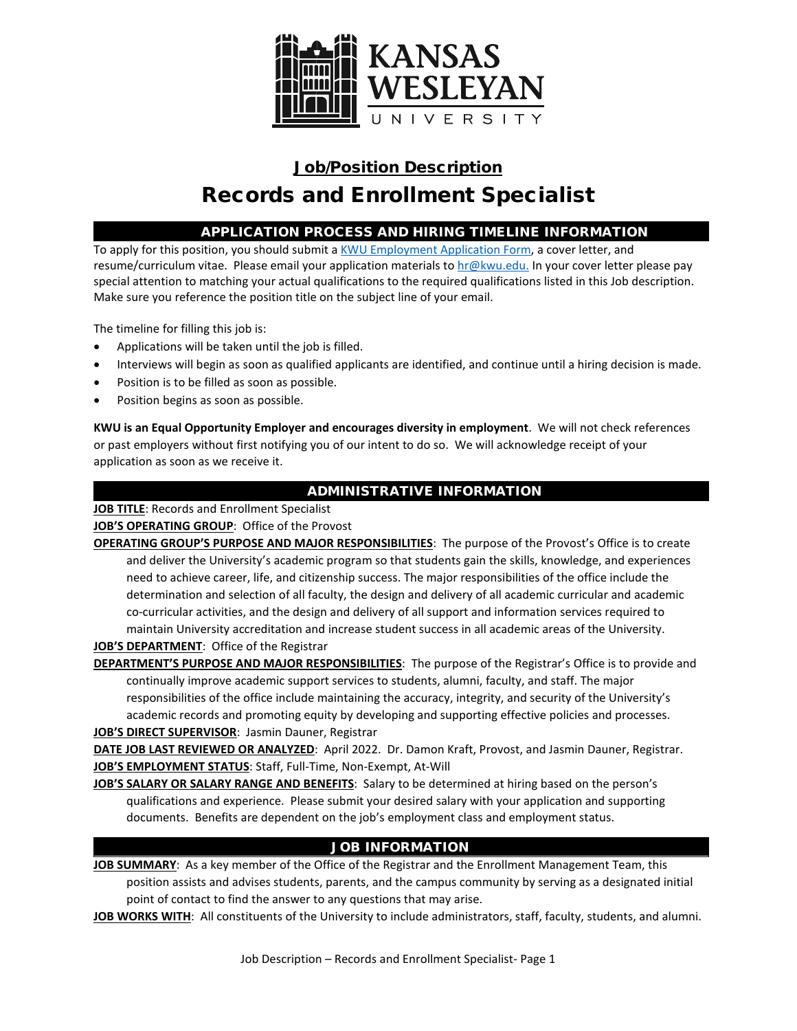

# Job/Position Description Records and Enrollment Specialist

## APPLICATION PROCESS AND HIRING TIMELINE INFORMATION

To apply for this position, you should submit a [KWU Employment Application Form,](https://www.kwu.edu/sites/default/files/Employment%20Application%20Form-ELECTRONIC%20%28Revised%203-.pdf) a cover letter, and resume/curriculum vitae. Please email your application materials t[o hr@kwu.edu.](mailto:hr@kwu.edu) In your cover letter please pay special attention to matching your actual qualifications to the required qualifications listed in this Job description. Make sure you reference the position title on the subject line of your email.

The timeline for filling this job is:

- Applications will be taken until the job is filled.
- Interviews will begin as soon as qualified applicants are identified, and continue until a hiring decision is made.
- Position is to be filled as soon as possible.
- Position begins as soon as possible.

**KWU is an Equal Opportunity Employer and encourages diversity in employment**. We will not check references or past employers without first notifying you of our intent to do so. We will acknowledge receipt of your application as soon as we receive it.

# ADMINISTRATIVE INFORMATION

**JOB TITLE**: Records and Enrollment Specialist

**JOB'S OPERATING GROUP**: Office of the Provost

**OPERATING GROUP'S PURPOSE AND MAJOR RESPONSIBILITIES**: The purpose of the Provost's Office is to create and deliver the University's academic program so that students gain the skills, knowledge, and experiences need to achieve career, life, and citizenship success. The major responsibilities of the office include the determination and selection of all faculty, the design and delivery of all academic curricular and academic co-curricular activities, and the design and delivery of all support and information services required to maintain University accreditation and increase student success in all academic areas of the University. **JOB'S DEPARTMENT**: Office of the Registrar

**DEPARTMENT'S PURPOSE AND MAJOR RESPONSIBILITIES**: The purpose of the Registrar's Office is to provide and continually improve academic support services to students, alumni, faculty, and staff. The major responsibilities of the office include maintaining the accuracy, integrity, and security of the University's academic records and promoting equity by developing and supporting effective policies and processes. **JOB'S DIRECT SUPERVISOR**: Jasmin Dauner, Registrar

**DATE JOB LAST REVIEWED OR ANALYZED**: April 2022. Dr. Damon Kraft, Provost, and Jasmin Dauner, Registrar. **JOB'S EMPLOYMENT STATUS**: Staff, Full-Time, Non-Exempt, At-Will

**JOB'S SALARY OR SALARY RANGE AND BENEFITS**: Salary to be determined at hiring based on the person's qualifications and experience. Please submit your desired salary with your application and supporting documents. Benefits are dependent on the job's employment class and employment status.

# JOB INFORMATION

**JOB SUMMARY**: As a key member of the Office of the Registrar and the Enrollment Management Team, this position assists and advises students, parents, and the campus community by serving as a designated initial point of contact to find the answer to any questions that may arise.

**JOB WORKS WITH**: All constituents of the University to include administrators, staff, faculty, students, and alumni.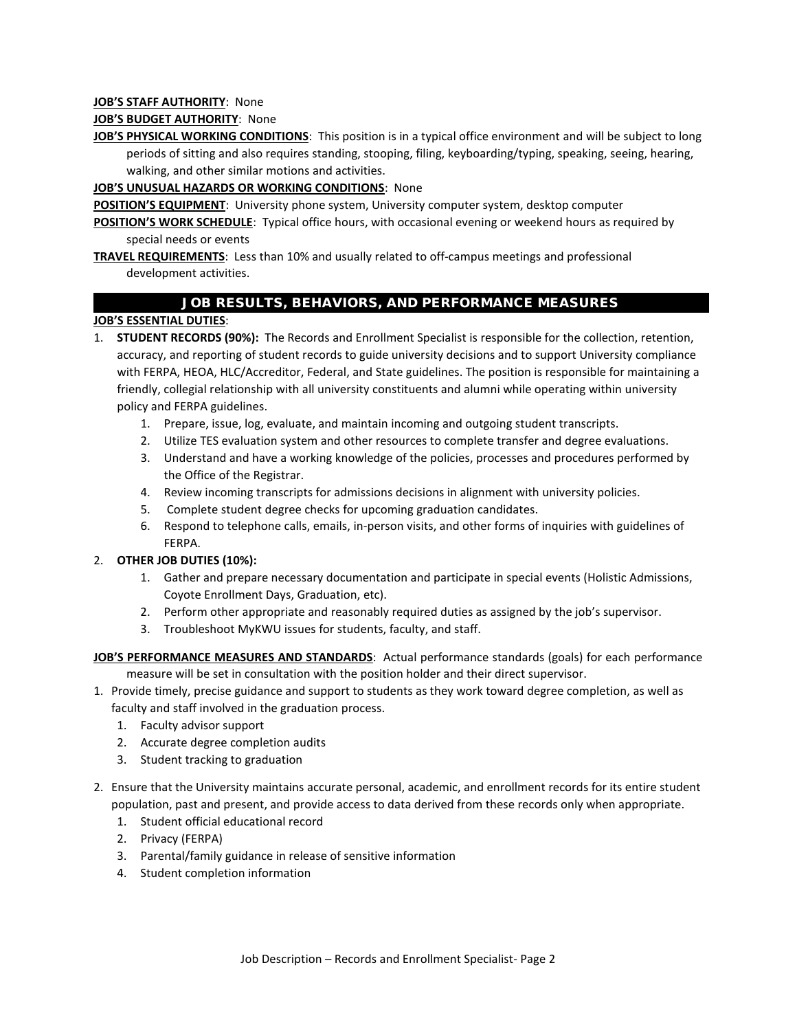#### **JOB'S STAFF AUTHORITY**: None

#### **JOB'S BUDGET AUTHORITY**: None

**JOB'S PHYSICAL WORKING CONDITIONS**: This position is in a typical office environment and will be subject to long periods of sitting and also requires standing, stooping, filing, keyboarding/typing, speaking, seeing, hearing, walking, and other similar motions and activities.

#### **JOB'S UNUSUAL HAZARDS OR WORKING CONDITIONS**: None

**POSITION'S EQUIPMENT:** University phone system, University computer system, desktop computer

**POSITION'S WORK SCHEDULE**: Typical office hours, with occasional evening or weekend hours as required by special needs or events

**TRAVEL REQUIREMENTS**: Less than 10% and usually related to off-campus meetings and professional development activities.

## JOB RESULTS, BEHAVIORS, AND PERFORMANCE MEASURES

## **JOB'S ESSENTIAL DUTIES**:

- 1. **STUDENT RECORDS (90%):** The Records and Enrollment Specialist is responsible for the collection, retention, accuracy, and reporting of student records to guide university decisions and to support University compliance with FERPA, HEOA, HLC/Accreditor, Federal, and State guidelines. The position is responsible for maintaining a friendly, collegial relationship with all university constituents and alumni while operating within university policy and FERPA guidelines.
	- 1. Prepare, issue, log, evaluate, and maintain incoming and outgoing student transcripts.
	- 2. Utilize TES evaluation system and other resources to complete transfer and degree evaluations.
	- 3. Understand and have a working knowledge of the policies, processes and procedures performed by the Office of the Registrar.
	- 4. Review incoming transcripts for admissions decisions in alignment with university policies.
	- 5. Complete student degree checks for upcoming graduation candidates.
	- 6. Respond to telephone calls, emails, in-person visits, and other forms of inquiries with guidelines of FERPA.

#### 2. **OTHER JOB DUTIES (10%):**

- 1. Gather and prepare necessary documentation and participate in special events (Holistic Admissions, Coyote Enrollment Days, Graduation, etc).
- 2. Perform other appropriate and reasonably required duties as assigned by the job's supervisor.
- 3. Troubleshoot MyKWU issues for students, faculty, and staff.

**JOB'S PERFORMANCE MEASURES AND STANDARDS**: Actual performance standards (goals) for each performance measure will be set in consultation with the position holder and their direct supervisor.

- 1. Provide timely, precise guidance and support to students as they work toward degree completion, as well as faculty and staff involved in the graduation process.
	- 1. Faculty advisor support
	- 2. Accurate degree completion audits
	- 3. Student tracking to graduation
- 2. Ensure that the University maintains accurate personal, academic, and enrollment records for its entire student population, past and present, and provide access to data derived from these records only when appropriate.
	- 1. Student official educational record
	- 2. Privacy (FERPA)
	- 3. Parental/family guidance in release of sensitive information
	- 4. Student completion information